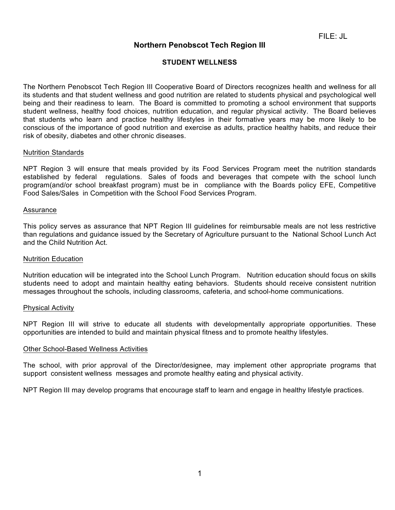# **Northern Penobscot Tech Region III**

# **STUDENT WELLNESS**

The Northern Penobscot Tech Region III Cooperative Board of Directors recognizes health and wellness for all its students and that student wellness and good nutrition are related to students physical and psychological well being and their readiness to learn. The Board is committed to promoting a school environment that supports student wellness, healthy food choices, nutrition education, and regular physical activity. The Board believes that students who learn and practice healthy lifestyles in their formative years may be more likely to be conscious of the importance of good nutrition and exercise as adults, practice healthy habits, and reduce their risk of obesity, diabetes and other chronic diseases.

#### Nutrition Standards

NPT Region 3 will ensure that meals provided by its Food Services Program meet the nutrition standards established by federal regulations. Sales of foods and beverages that compete with the school lunch program(and/or school breakfast program) must be in compliance with the Boards policy EFE, Competitive Food Sales/Sales in Competition with the School Food Services Program.

#### Assurance

This policy serves as assurance that NPT Region III guidelines for reimbursable meals are not less restrictive than regulations and guidance issued by the Secretary of Agriculture pursuant to the National School Lunch Act and the Child Nutrition Act.

### Nutrition Education

Nutrition education will be integrated into the School Lunch Program. Nutrition education should focus on skills students need to adopt and maintain healthy eating behaviors. Students should receive consistent nutrition messages throughout the schools, including classrooms, cafeteria, and school-home communications.

### Physical Activity

NPT Region III will strive to educate all students with developmentally appropriate opportunities. These opportunities are intended to build and maintain physical fitness and to promote healthy lifestyles.

### Other School-Based Wellness Activities

The school, with prior approval of the Director/designee, may implement other appropriate programs that support consistent wellness messages and promote healthy eating and physical activity.

NPT Region III may develop programs that encourage staff to learn and engage in healthy lifestyle practices.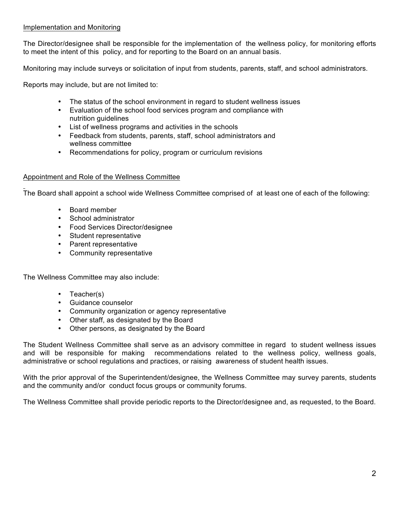## Implementation and Monitoring

The Director/designee shall be responsible for the implementation of the wellness policy, for monitoring efforts to meet the intent of this policy, and for reporting to the Board on an annual basis.

Monitoring may include surveys or solicitation of input from students, parents, staff, and school administrators.

Reports may include, but are not limited to:

- The status of the school environment in regard to student wellness issues
- Evaluation of the school food services program and compliance with nutrition guidelines
- List of wellness programs and activities in the schools
- Feedback from students, parents, staff, school administrators and wellness committee
- Recommendations for policy, program or curriculum revisions

### Appointment and Role of the Wellness Committee

The Board shall appoint a school wide Wellness Committee comprised of at least one of each of the following:

- Board member
- School administrator
- Food Services Director/designee
- Student representative
- Parent representative
- Community representative

The Wellness Committee may also include:

- Teacher(s)
- Guidance counselor
- Community organization or agency representative
- Other staff, as designated by the Board
- Other persons, as designated by the Board

The Student Wellness Committee shall serve as an advisory committee in regard to student wellness issues and will be responsible for making recommendations related to the wellness policy, wellness goals, administrative or school regulations and practices, or raising awareness of student health issues.

With the prior approval of the Superintendent/designee, the Wellness Committee may survey parents, students and the community and/or conduct focus groups or community forums.

The Wellness Committee shall provide periodic reports to the Director/designee and, as requested, to the Board.